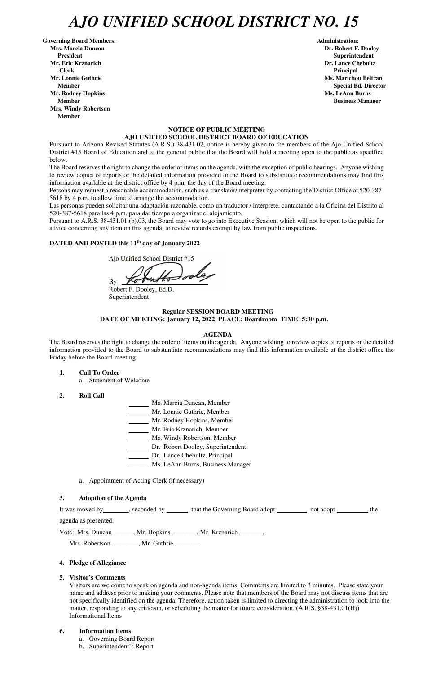# *AJO UNIFIED SCHOOL DISTRICT NO. 15*

Governing Board Members: **Administration: Administration: Administration: Mrs. Marcia Duncan Dr. Robert F. Dooley President Superintendent in the set of the set of the set of the set of the Superintendent Superintendent Mr. Eric Krznarich Dr. Lance Chebultz Clerk Principal Mr. Lonnie Guthrie Ms. Marichou Beltran** *Ms. Marichou Beltran* **<b>Ms. Marichou Beltran Mr. Rodney Hopkins Ms. LeAnn Burns in the United States of the United States of the United States of the United States of the United States of the United States of the United States of the United States of the United Sta Member Business Manager 3 and 2009 Member 3 and 3 and 3 and 3 and 3 and 3 and 3 and 3 and 3 and 3 and 3 and 3 and 3 and 3 and 3 and 3 and 3 and 3 and 3 and 3 and 3 and 3 and 3 and 3 and 3 and 3 and 3 and 3 and 3 and 3 and Mrs. Windy Robertson Member** 

 **Member** Special Ed. Director **Special Ed. Director** 

# **NOTICE OF PUBLIC MEETING AJO UNIFIED SCHOOL DISTRICT BOARD OF EDUCATION**

Pursuant to Arizona Revised Statutes (A.R.S.) 38-431.02, notice is hereby given to the members of the Ajo Unified School District #15 Board of Education and to the general public that the Board will hold a meeting open to the public as specified below.

The Board reserves the right to change the order of items on the agenda, with the exception of public hearings. Anyone wishing to review copies of reports or the detailed information provided to the Board to substantiate recommendations may find this information available at the district office by 4 p.m. the day of the Board meeting.

Persons may request a reasonable accommodation, such as a translator/interpreter by contacting the District Office at 520-387- 5618 by 4 p.m. to allow time to arrange the accommodation.

Las personas pueden solicitar una adaptación razonable, como un traductor / intérprete, contactando a la Oficina del Distrito al 520-387-5618 para las 4 p.m. para dar tiempo a organizar el alojamiento.

It was moved by seconded by , that the Governing Board adopt , not adopt , not and  $\frac{1}{\sqrt{1-\frac{1}{n}}}\$ , the agenda as presented.

Pursuant to A.R.S. 38-431.01.(b).03, the Board may vote to go into Executive Session, which will not be open to the public for advice concerning any item on this agenda, to review records exempt by law from public inspections.

### **DATED AND POSTED this 11th day of January 2022**

Ajo Unified School District #15

 $By:$ 

Robert F. Dooley, Ed.D. Superintendent

# **Regular SESSION BOARD MEETING DATE OF MEETING: January 12, 2022 PLACE: Boardroom TIME: 5:30 p.m.**

#### **AGENDA**

The Board reserves the right to change the order of items on the agenda. Anyone wishing to review copies of reports or the detailed information provided to the Board to substantiate recommendations may find this information available at the district office the Friday before the Board meeting.

- **1. Call To Order** 
	- a. Statement of Welcome
- **2. Roll Call**
- Ms. Marcia Duncan, Member
- Mr. Lonnie Guthrie, Member
- Mr. Rodney Hopkins, Member
- Mr. Eric Krznarich, Member
- Ms. Windy Robertson, Member
- Dr. Robert Dooley, Superintendent
- Dr. Lance Chebultz, Principal
- \_\_\_\_\_\_ Ms. LeAnn Burns, Business Manager
- a. Appointment of Acting Clerk (if necessary)

#### **3. Adoption of the Agenda**

Vote: Mrs. Duncan \_\_\_\_\_\_, Mr. Hopkins \_\_\_\_\_\_\_, Mr. Krznarich \_\_\_\_\_\_\_,

Mrs. Robertson \_\_\_\_\_\_\_\_, Mr. Guthrie \_\_\_\_\_\_\_

### **4. Pledge of Allegiance**

#### **5. Visitor's Comments**

Visitors are welcome to speak on agenda and non-agenda items. Comments are limited to 3 minutes. Please state your name and address prior to making your comments. Please note that members of the Board may not discuss items that are not specifically identified on the agenda. Therefore, action taken is limited to directing the administration to look into the matter, responding to any criticism, or scheduling the matter for future consideration. (A.R.S. §38-431.01(H)) Informational Items

#### **6. Information Items**

- a. Governing Board Report
- b. Superintendent's Report